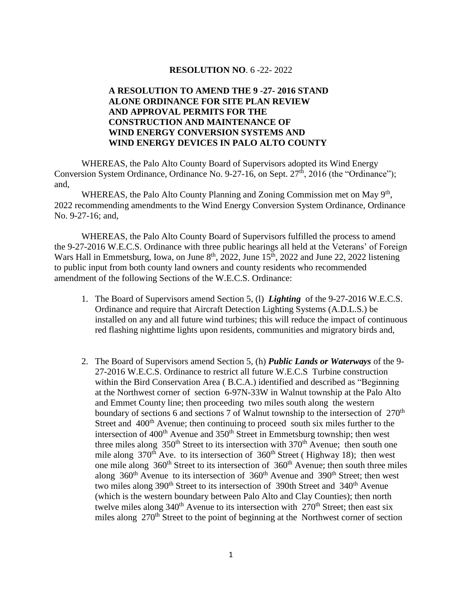#### **RESOLUTION NO**. 6 -22- 2022

## **A RESOLUTION TO AMEND THE 9 -27- 2016 STAND ALONE ORDINANCE FOR SITE PLAN REVIEW AND APPROVAL PERMITS FOR THE CONSTRUCTION AND MAINTENANCE OF WIND ENERGY CONVERSION SYSTEMS AND WIND ENERGY DEVICES IN PALO ALTO COUNTY**

WHEREAS, the Palo Alto County Board of Supervisors adopted its Wind Energy Conversion System Ordinance, Ordinance No. 9-27-16, on Sept.  $27<sup>th</sup>$ , 2016 (the "Ordinance"); and,

WHEREAS, the Palo Alto County Planning and Zoning Commission met on May  $9<sup>th</sup>$ , 2022 recommending amendments to the Wind Energy Conversion System Ordinance, Ordinance No. 9-27-16; and,

WHEREAS, the Palo Alto County Board of Supervisors fulfilled the process to amend the 9-27-2016 W.E.C.S. Ordinance with three public hearings all held at the Veterans' of Foreign Wars Hall in Emmetsburg, Iowa, on June  $8<sup>th</sup>$ , 2022, June 15<sup>th</sup>, 2022 and June 22, 2022 listening to public input from both county land owners and county residents who recommended amendment of the following Sections of the W.E.C.S. Ordinance:

- 1. The Board of Supervisors amend Section 5, (l) *Lighting* of the 9-27-2016 W.E.C.S. Ordinance and require that Aircraft Detection Lighting Systems (A.D.L.S.) be installed on any and all future wind turbines; this will reduce the impact of continuous red flashing nighttime lights upon residents, communities and migratory birds and,
- 2. The Board of Supervisors amend Section 5, (h) *Public Lands or Waterways* of the 9- 27-2016 W.E.C.S. Ordinance to restrict all future W.E.C.S Turbine construction within the Bird Conservation Area ( B.C.A.) identified and described as "Beginning at the Northwest corner of section 6-97N-33W in Walnut township at the Palo Alto and Emmet County line; then proceeding two miles south along the western boundary of sections 6 and sections 7 of Walnut township to the intersection of 270<sup>th</sup> Street and 400<sup>th</sup> Avenue; then continuing to proceed south six miles further to the intersection of  $400<sup>th</sup>$  Avenue and  $350<sup>th</sup>$  Street in Emmetsburg township; then west three miles along  $350<sup>th</sup>$  Street to its intersection with  $370<sup>th</sup>$  Avenue; then south one mile along  $370<sup>th</sup>$  Ave. to its intersection of  $360<sup>th</sup>$  Street (Highway 18); then west one mile along  $360<sup>th</sup>$  Street to its intersection of  $360<sup>th</sup>$  Avenue; then south three miles along  $360<sup>th</sup>$  Avenue to its intersection of  $360<sup>th</sup>$  Avenue and  $390<sup>th</sup>$  Street; then west two miles along  $390<sup>th</sup>$  Street to its intersection of 390th Street and 340<sup>th</sup> Avenue (which is the western boundary between Palo Alto and Clay Counties); then north twelve miles along  $340<sup>th</sup>$  Avenue to its intersection with  $270<sup>th</sup>$  Street; then east six miles along 270<sup>th</sup> Street to the point of beginning at the Northwest corner of section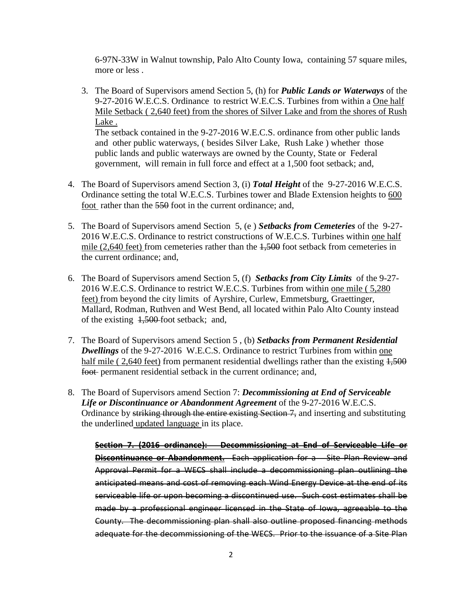6-97N-33W in Walnut township, Palo Alto County Iowa, containing 57 square miles, more or less .

3. The Board of Supervisors amend Section 5, (h) for *Public Lands or Waterways* of the 9-27-2016 W.E.C.S. Ordinance to restrict W.E.C.S. Turbines from within a One half Mile Setback ( 2,640 feet) from the shores of Silver Lake and from the shores of Rush Lake . The setback contained in the 9-27-2016 W.E.C.S. ordinance from other public lands and other public waterways, ( besides Silver Lake, Rush Lake ) whether those

public lands and public waterways are owned by the County, State or Federal government, will remain in full force and effect at a 1,500 foot setback; and,

- 4. The Board of Supervisors amend Section 3, (i) *Total Height* of the 9-27-2016 W.E.C.S. Ordinance setting the total W.E.C.S. Turbines tower and Blade Extension heights to 600 foot rather than the 550 foot in the current ordinance; and,
- 5. The Board of Supervisors amend Section 5, (e ) *Setbacks from Cemeteries* of the 9-27- 2016 W.E.C.S. Ordinance to restrict constructions of W.E.C.S. Turbines within one half mile (2,640 feet) from cemeteries rather than the  $1,500$  foot setback from cemeteries in the current ordinance; and,
- 6. The Board of Supervisors amend Section 5, (f) *Setbacks from City Limits* of the 9-27- 2016 W.E.C.S. Ordinance to restrict W.E.C.S. Turbines from within one mile ( 5,280 feet) from beyond the city limits of Ayrshire, Curlew, Emmetsburg, Graettinger, Mallard, Rodman, Ruthven and West Bend, all located within Palo Alto County instead of the existing 1,500 foot setback; and,
- 7. The Board of Supervisors amend Section 5 , (b) *Setbacks from Permanent Residential*  **Dwellings** of the 9-27-2016 W.E.C.S. Ordinance to restrict Turbines from within one half mile ( 2,640 feet) from permanent residential dwellings rather than the existing  $1,500$ foot permanent residential setback in the current ordinance; and,
- 8. The Board of Supervisors amend Section 7: *Decommissioning at End of Serviceable Life or Discontinuance or Abandonment Agreement* of the 9-27-2016 W.E.C.S. Ordinance by striking through the entire existing Section 7, and inserting and substituting the underlined updated language in its place.

**Section 7. (2016 ordinance): Decommissioning at End of Serviceable Life or Discontinuance or Abandonment.** Each application for a Site Plan Review and Approval Permit for a WECS shall include a decommissioning plan outlining the anticipated means and cost of removing each Wind Energy Device at the end of its serviceable life or upon becoming a discontinued use. Such cost estimates shall be made by a professional engineer licensed in the State of Iowa, agreeable to the County. The decommissioning plan shall also outline proposed financing methods adequate for the decommissioning of the WECS. Prior to the issuance of a Site Plan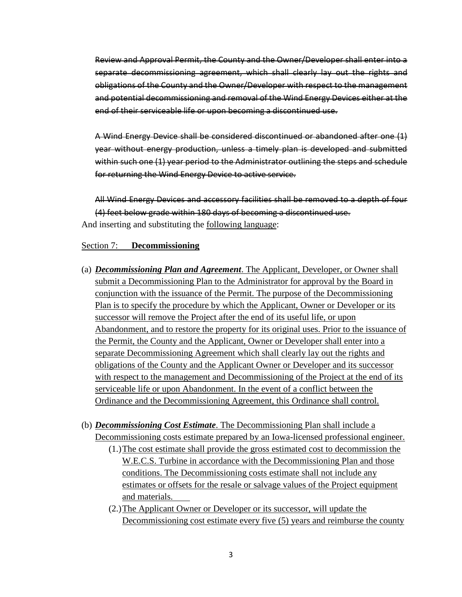Review and Approval Permit, the County and the Owner/Developer shall enter into a separate decommissioning agreement, which shall clearly lay out the rights and obligations of the County and the Owner/Developer with respect to the management and potential decommissioning and removal of the Wind Energy Devices either at the end of their serviceable life or upon becoming a discontinued use.

A Wind Energy Device shall be considered discontinued or abandoned after one (1) year without energy production, unless a timely plan is developed and submitted within such one (1) year period to the Administrator outlining the steps and schedule for returning the Wind Energy Device to active service.

All Wind Energy Devices and accessory facilities shall be removed to a depth of four (4) feet below grade within 180 days of becoming a discontinued use. And inserting and substituting the following language:

#### Section 7: **Decommissioning**

- (a) *Decommissioning Plan and Agreement*. The Applicant, Developer, or Owner shall submit a Decommissioning Plan to the Administrator for approval by the Board in conjunction with the issuance of the Permit. The purpose of the Decommissioning Plan is to specify the procedure by which the Applicant, Owner or Developer or its successor will remove the Project after the end of its useful life, or upon Abandonment, and to restore the property for its original uses. Prior to the issuance of the Permit, the County and the Applicant, Owner or Developer shall enter into a separate Decommissioning Agreement which shall clearly lay out the rights and obligations of the County and the Applicant Owner or Developer and its successor with respect to the management and Decommissioning of the Project at the end of its serviceable life or upon Abandonment. In the event of a conflict between the Ordinance and the Decommissioning Agreement, this Ordinance shall control.
- (b) *Decommissioning Cost Estimate*. The Decommissioning Plan shall include a Decommissioning costs estimate prepared by an Iowa-licensed professional engineer.
	- (1.)The cost estimate shall provide the gross estimated cost to decommission the W.E.C.S. Turbine in accordance with the Decommissioning Plan and those conditions. The Decommissioning costs estimate shall not include any estimates or offsets for the resale or salvage values of the Project equipment and materials.
	- (2.)The Applicant Owner or Developer or its successor, will update the Decommissioning cost estimate every five (5) years and reimburse the county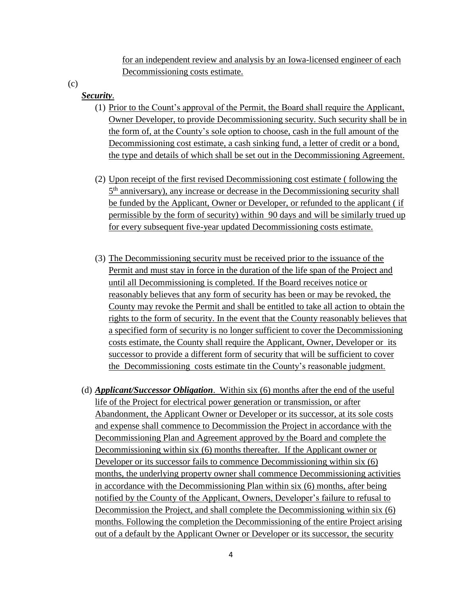for an independent review and analysis by an Iowa-licensed engineer of each Decommissioning costs estimate.

(c)

## *Security*.

- (1) Prior to the Count's approval of the Permit, the Board shall require the Applicant, Owner Developer, to provide Decommissioning security. Such security shall be in the form of, at the County's sole option to choose, cash in the full amount of the Decommissioning cost estimate, a cash sinking fund, a letter of credit or a bond, the type and details of which shall be set out in the Decommissioning Agreement.
- (2) Upon receipt of the first revised Decommissioning cost estimate ( following the 5<sup>th</sup> anniversary), any increase or decrease in the Decommissioning security shall be funded by the Applicant, Owner or Developer, or refunded to the applicant ( if permissible by the form of security) within 90 days and will be similarly trued up for every subsequent five-year updated Decommissioning costs estimate.
- (3) The Decommissioning security must be received prior to the issuance of the Permit and must stay in force in the duration of the life span of the Project and until all Decommissioning is completed. If the Board receives notice or reasonably believes that any form of security has been or may be revoked, the County may revoke the Permit and shall be entitled to take all action to obtain the rights to the form of security. In the event that the County reasonably believes that a specified form of security is no longer sufficient to cover the Decommissioning costs estimate, the County shall require the Applicant, Owner, Developer or its successor to provide a different form of security that will be sufficient to cover the Decommissioning costs estimate tin the County's reasonable judgment.
- (d) *Applicant/Successor Obligation*. Within six (6) months after the end of the useful life of the Project for electrical power generation or transmission, or after Abandonment, the Applicant Owner or Developer or its successor, at its sole costs and expense shall commence to Decommission the Project in accordance with the Decommissioning Plan and Agreement approved by the Board and complete the Decommissioning within six (6) months thereafter. If the Applicant owner or Developer or its successor fails to commence Decommissioning within six (6) months, the underlying property owner shall commence Decommissioning activities in accordance with the Decommissioning Plan within six (6) months, after being notified by the County of the Applicant, Owners, Developer's failure to refusal to Decommission the Project, and shall complete the Decommissioning within six (6) months. Following the completion the Decommissioning of the entire Project arising out of a default by the Applicant Owner or Developer or its successor, the security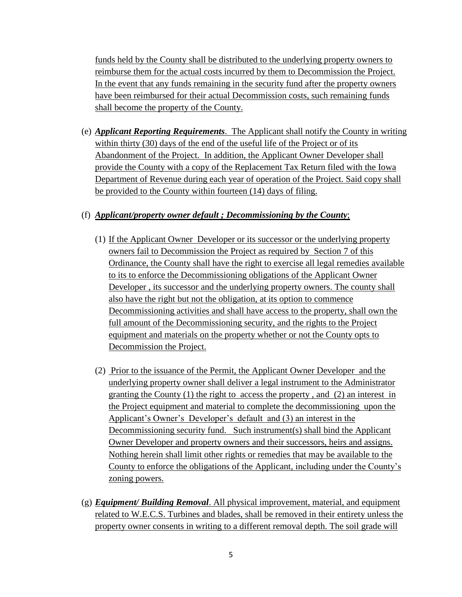funds held by the County shall be distributed to the underlying property owners to reimburse them for the actual costs incurred by them to Decommission the Project. In the event that any funds remaining in the security fund after the property owners have been reimbursed for their actual Decommission costs, such remaining funds shall become the property of the County.

(e) *Applicant Reporting Requirements*. The Applicant shall notify the County in writing within thirty (30) days of the end of the useful life of the Project or of its Abandonment of the Project. In addition, the Applicant Owner Developer shall provide the County with a copy of the Replacement Tax Return filed with the Iowa Department of Revenue during each year of operation of the Project. Said copy shall be provided to the County within fourteen (14) days of filing.

## (f) *Applicant/property owner default ; Decommissioning by the County*;

- (1) If the Applicant Owner Developer or its successor or the underlying property owners fail to Decommission the Project as required by Section 7 of this Ordinance, the County shall have the right to exercise all legal remedies available to its to enforce the Decommissioning obligations of the Applicant Owner Developer , its successor and the underlying property owners. The county shall also have the right but not the obligation, at its option to commence Decommissioning activities and shall have access to the property, shall own the full amount of the Decommissioning security, and the rights to the Project equipment and materials on the property whether or not the County opts to Decommission the Project.
- (2) Prior to the issuance of the Permit, the Applicant Owner Developer and the underlying property owner shall deliver a legal instrument to the Administrator granting the County (1) the right to access the property , and (2) an interest in the Project equipment and material to complete the decommissioning upon the Applicant's Owner's Developer's default and (3) an interest in the Decommissioning security fund. Such instrument(s) shall bind the Applicant Owner Developer and property owners and their successors, heirs and assigns. Nothing herein shall limit other rights or remedies that may be available to the County to enforce the obligations of the Applicant, including under the County's zoning powers.
- (g) *Equipment/ Building Removal*. All physical improvement, material, and equipment related to W.E.C.S. Turbines and blades, shall be removed in their entirety unless the property owner consents in writing to a different removal depth. The soil grade will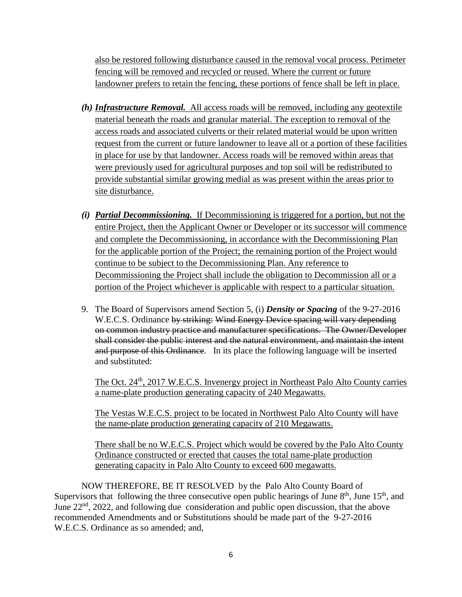also be restored following disturbance caused in the removal vocal process. Perimeter fencing will be removed and recycled or reused. Where the current or future landowner prefers to retain the fencing, these portions of fence shall be left in place.

- *(h) Infrastructure Removal.* All access roads will be removed, including any geotextile material beneath the roads and granular material. The exception to removal of the access roads and associated culverts or their related material would be upon written request from the current or future landowner to leave all or a portion of these facilities in place for use by that landowner. Access roads will be removed within areas that were previously used for agricultural purposes and top soil will be redistributed to provide substantial similar growing medial as was present within the areas prior to site disturbance.
- *(i) Partial Decommissioning.* If Decommissioning is triggered for a portion, but not the entire Project, then the Applicant Owner or Developer or its successor will commence and complete the Decommissioning, in accordance with the Decommissioning Plan for the applicable portion of the Project; the remaining portion of the Project would continue to be subject to the Decommissioning Plan. Any reference to Decommissioning the Project shall include the obligation to Decommission all or a portion of the Project whichever is applicable with respect to a particular situation.
- 9. The Board of Supervisors amend Section 5, (i) *Density or Spacing* of the 9-27-2016 W.E.C.S. Ordinance by striking: Wind Energy Device spacing will vary depending on common industry practice and manufacturer specifications. The Owner/Developer shall consider the public interest and the natural environment, and maintain the intent and purpose of this Ordinance. In its place the following language will be inserted and substituted:

The Oct. 24<sup>th</sup>, 2017 W.E.C.S. Invenergy project in Northeast Palo Alto County carries a name-plate production generating capacity of 240 Megawatts.

The Vestas W.E.C.S. project to be located in Northwest Palo Alto County will have the name-plate production generating capacity of 210 Megawatts.

There shall be no W.E.C.S. Project which would be covered by the Palo Alto County Ordinance constructed or erected that causes the total name-plate production generating capacity in Palo Alto County to exceed 600 megawatts.

NOW THEREFORE, BE IT RESOLVED by the Palo Alto County Board of Supervisors that following the three consecutive open public hearings of June  $8<sup>th</sup>$ , June  $15<sup>th</sup>$ , and June 22nd, 2022, and following due consideration and public open discussion, that the above recommended Amendments and or Substitutions should be made part of the 9-27-2016 W.E.C.S. Ordinance as so amended; and,